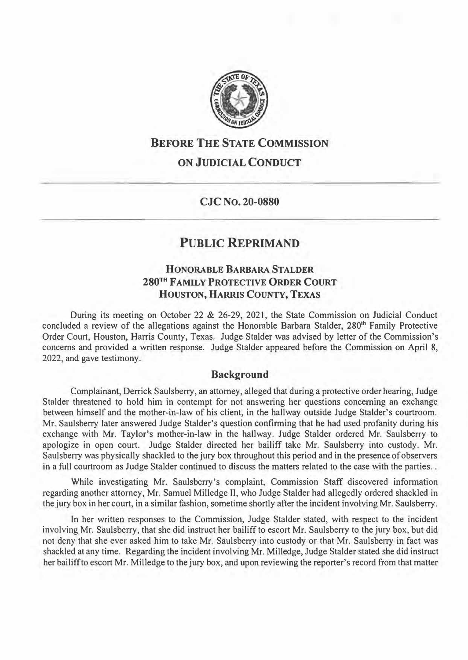

## **BEFORE THE STATE COMMISSION**

## **ON JUDICIAL CONDUCT**

**CJC No. 20-0880** 

# **PUBLIC REPRIMAND**

### **HONORABLE BARBARA STALDER 280TH FAMILY PROTECTIVE ORDER COURT HOUSTON, HARRIS COUNTY, TEXAS**

During its meeting on October 22 & 26-29, 2021, the State Commission on Judicial Conduct concluded a review of the allegations against the Honorable Barbara Stalder, 280**th** Family Protective Order Court, Houston, Harris County, Texas. Judge Stalder was advised by letter of the Commission's concerns and provided a written response. Judge Stalder appeared before the Commission on April 8, 2022, and gave testimony.

#### **Background**

Complainant, Derrick Saulsberry, an attorney, alleged that during a protective order hearing, Judge Stalder threatened to hold him in contempt for not answering her questions concerning an exchange between himself and the mother-in-law of his client, in the hallway outside Judge Stalder's courtroom. Mr. Saulsberry later answered Judge Stalder's question confirming that he had used profanity during his exchange with Mr. Taylor's mother-in-law in the hallway. Judge Stalder ordered Mr. Saulsberry to apologize in open court. Judge Stalder directed her bailiff take Mr. Saulsberry into custody. Mr. Saulsberry was physically shackled to the jury box throughout this period and in the presence ofobservers in a full courtroom as Judge Stalder continued to discuss the matters related to the case with the parties..

While investigating Mr. Saulsberry's complaint, Commission Staff discovered information regarding another attorney, Mr. Samuel Milledge II, who Judge Stalder had allegedly ordered shackled in the jury box in her court, in a similar fashion, sometime shortly after the incident involving Mr. Saulsberry.

ln her written responses to the Commission, Judge Stalder stated, with respect to the incident involving Mr. Saulsberry, that she did instruct her bailiff to escort Mr. Saulsberry to the jury box, but did not deny that she ever asked him to take Mr. Saulsberry into custody or that Mr. Saulsberry in fact was shackled at any time. Regarding the incident involving Mr. Milledge, Judge Stalder stated she did instruct her bailiffto escort Mr. Milledge to the jury box, and upon reviewing the reporter's record from that matter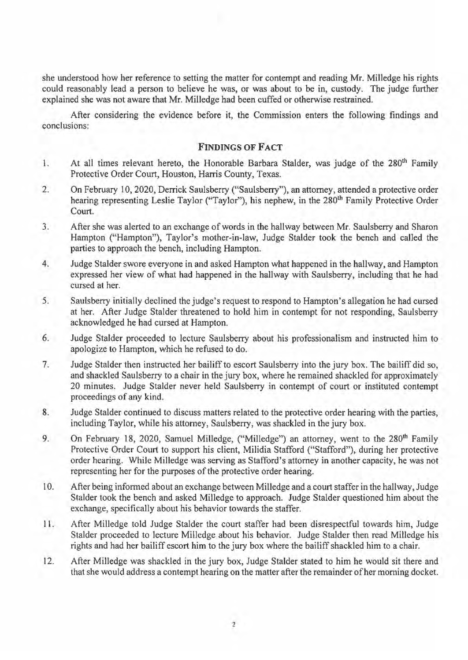she understood how her reference to setting the matter for contempt and reading Mr. Milledge his rights could reasonably lead a person to believe he was, or was about to be in, custody. The judge further explained she was not aware that Mr. Milledge had been cuffed or otherwise restrained.

After considering the evidence before it, the Commission enters the following findings and conclusions:

#### **FINDINGS OF FACT**

- 1. At all times relevant hereto, the Honorable Barbara Stalder, was judge of the 280<sup>th</sup> Family Protective Order Court, Houston, Harris County, Texas.
- 2. On February 10, 2020, Derrick Saulsberry ("Saulsberry"), an attorney, attended a protective order hearing representing Leslie Taylor ("Taylor"), his nephew, in the 280<sup>th</sup> Family Protective Order Court.
- 3. After she was alerted to an exchange of words in the hallway between Mr. Saulsberry and Sharon Hampton ("Hampton"), Taylor's mother-in-law, Judge Stalder took the bench and called the parties to approach the bench, including Hampton.
- 4. Judge Stalder swore everyone in and asked Hampton what happened in the hallway, and Hampton expressed her view of what had happened in the hallway with Saulsberry, including that he had cursed at her.
- 5. Saulsberry initially declined the judge's request to respond to Hampton's allegation he had cursed at her. After Judge Stalder threatened to hold him in contempt for not responding, Saulsberry acknowledged he had cursed at Hampton.
- 6. Judge Stalder proceeded to lecture Saulsberry about his professionalism and instructed him to apologize to Hampton, which he refused to do.
- 7. Judge Stalder then instructed her bailiff to escort Saulsberry into the jury box. The bailiff did so, and shackled Saulsberry to a chair in the jury box, where he remained shackled for approximately 20 minutes. Judge Stalder never held Saulsberry in contempt of court or instituted contempt proceedings of any kind.
- 8. Judge Stalder continued to discuss matters related to the protective order hearing with the parties, including Taylor, while his attorney, Saulsberry, was shackled in the jury box.
- 9. On February 18, 2020, Samuel Milledge, ("Milledge") an attorney, went to the 280<sup>th</sup> Family Protective Order Court to support his client, Milidia Stafford ("Stafford"), during her protective order hearing. While Milledge was serving as Stafford's attorney in another capacity, he was not representing her for the purposes of the protective order hearing.
- 10. After being informed about an exchange between Milledge and a court staffer in the hallway, Judge Stalder took the bench and asked Milledge to approach. Judge Stalder questioned him about the exchange, specifically about his behavior towards the staffer.
- 11. After Milledge told Judge Stalder the court staffer had been disrespectful towards him, Judge Stalder proceeded to lecture Milledge about his behavior. Judge Stalder then read Milledge his rights and had her bailiff escort him to the jury box where the bailiff shackled him to a chair.
- 12. After Milledge was shackled in the jury box, Judge Stalder stated to him he would sit there and that she would address a contempt hearing on the matter after the remainder of her morning docket.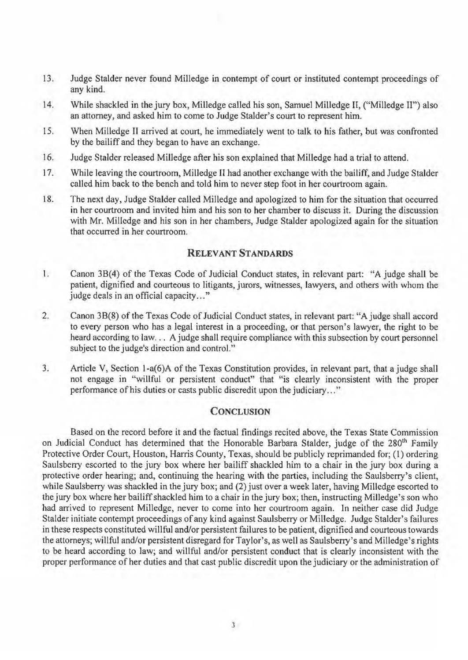- 13. Judge Stalder never found Milledge in contempt of court or instituted contempt proceedings of any kind.
- 14. While shackled in the jury box, Milledge called his son, Samuel Milledge II, ("Milledge II") also an attorney, and asked him to come to Judge Stalder's court to represent him.
- 15. When Milledge II arrived at court, he immediately went to talk to his father, but was confronted by the bailiff and they began to have an exchange.
- 16. Judge Stalder released Milledge after his son explained that Milledge had a trial to attend.
- 17. While leaving the courtroom, Milledge II had another exchange with the bailiff, and Judge Stalder called him back to the bench and told him to never step foot in her courtroom again.
- 18. The next day, Judge Stalder called Milledge and apologized to him for the situation that occurred in her courtroom and invited him and his son to her chamber to discuss it. During the discussion with Mr. Milledge and his son in her chambers, Judge Stalder apologized again for the situation that occurred in her courtroom.

### **RELEVANT STANDARDS**

- 1. Canon 38(4) of the Texas Code of Judicial Conduct states, in relevant part: "A judge shall be patient, dignified and courteous to litigants, jurors, witnesses, lawyers, and others with whom the judge deals in an official capacity..."
- 2. Canon 38(8) of the Texas Code of Judicial Conduct states, in relevant part: "A judge shall accord to every person who has a legal interest in a proceeding, or that person's lawyer, the right to be heard according to law... A judge shall require compliance with this subsection by court personnel subject to the judge's direction and control."
- 3. Article V, Section l-a(6)A of the Texas Constitution provides, in relevant part, that a judge shall not engage in "willful or persistent conduct" that "is clearly inconsistent with the proper performance of his duties or casts public discredit upon the judiciary ... "

#### **CONCLUSION**

Based on the record before it and the factual findings recited above, the Texas State Commission on Judicial Conduct has determined that the Honorable Barbara Stalder, judge of the 280<sup>th</sup> Family Protective Order Court, Houston, Harris County, Texas, should be publicly reprimanded for; (1) ordering Saulsberry escorted to the jury box where her bailiff shackled him to a chair in the jury box during a protective order hearing; and, continuing the hearing with the parties, including the Saulsberry's client, while Saulsberry was shackled in the jury box; and (2) just over a week later, having Milledge escorted to the jury box where her bailiff shackled him to a chair in the jury box; then, instructing Milledge's son who had arrived to represent Milledge, never to come into her courtroom again. In neither case did Judge Stalder initiate contempt proceedings of any kind against Saulsberry or Milledge. Judge Stalder's failures in these respects constituted willful and/or persistent failures to be patient, dignified and courteous towards the attorneys; willful and/or persistent disregard for Taylor's, as well as Saulsberry's and Milledge's rights to be heard according to law; and willful and/or persistent conduct that is clearly inconsistent with the proper performance of her duties and that cast public discredit upon the judiciary or the administration of